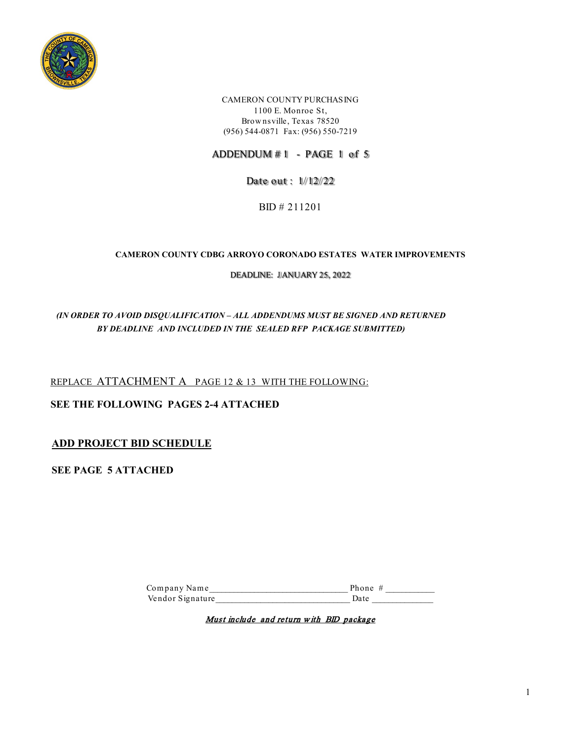

CAMERON COUNTY PURCHASING 1100 E. Monroe St, Brow nsville, Texas 78520 (956) 544-0871 Fax: (956) 550-7219

ADDENDUM # 1 - PAGE 1 of 5

Date out : 1/ 12/ 22

BID # 211201

#### **CAMERON COUNTY CDBG ARROYO CORONADO ESTATES WATER IMPROVEMENTS**

DEADLINE: JIANUARY 25, 2022

*(IN ORDER TO AVOID DISQUALIFICATION – ALL ADDENDUMS MUST BE SIGNED AND RETURNED BY DEADLINE AND INCLUDED IN THE SEALED RFP PACKAGE SUBMITTED)*

REPLACE ATTACHMENT A PAGE 12 & 13 WITH THE FOLLOWING:

**SEE THE FOLLOWING PAGES 2-4 ATTACHED**

**ADD PROJECT BID SCHEDULE** 

**SEE PAGE 5 ATTACHED** 

Com pany Nam e\_\_\_\_\_\_\_\_\_\_\_\_\_\_\_\_\_\_\_\_\_\_\_\_\_\_\_\_\_\_\_\_\_\_ Phone # \_\_\_\_\_\_\_\_\_\_\_\_ Vendor Signature\_\_\_\_\_\_\_\_\_\_\_\_\_\_\_\_\_\_\_\_\_\_\_\_\_\_\_\_\_\_\_\_\_ Date \_\_\_\_\_\_\_\_\_\_\_\_\_\_\_

Must include and return w ith BID package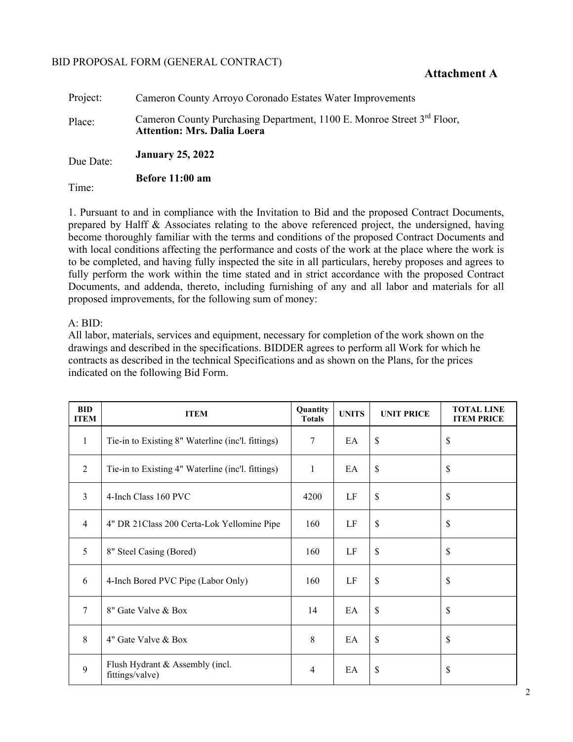### BID PROPOSAL FORM (GENERAL CONTRACT)

### **Attachment A**

| Project:  | Cameron County Arroyo Coronado Estates Water Improvements                                                                |
|-----------|--------------------------------------------------------------------------------------------------------------------------|
| Place:    | Cameron County Purchasing Department, 1100 E. Monroe Street 3 <sup>rd</sup> Floor,<br><b>Attention: Mrs. Dalia Loera</b> |
| Due Date: | <b>January 25, 2022</b>                                                                                                  |
| Time:     | Before 11:00 am                                                                                                          |

1. Pursuant to and in compliance with the Invitation to Bid and the proposed Contract Documents, prepared by Halff & Associates relating to the above referenced project, the undersigned, having become thoroughly familiar with the terms and conditions of the proposed Contract Documents and with local conditions affecting the performance and costs of the work at the place where the work is to be completed, and having fully inspected the site in all particulars, hereby proposes and agrees to fully perform the work within the time stated and in strict accordance with the proposed Contract Documents, and addenda, thereto, including furnishing of any and all labor and materials for all proposed improvements, for the following sum of money:

### A: BID:

All labor, materials, services and equipment, necessary for completion of the work shown on the drawings and described in the specifications. BIDDER agrees to perform all Work for which he contracts as described in the technical Specifications and as shown on the Plans, for the prices indicated on the following Bid Form.

| <b>BID</b><br><b>ITEM</b> | <b>ITEM</b>                                        | Quantity<br><b>Totals</b> | <b>UNITS</b> | <b>UNIT PRICE</b> | <b>TOTAL LINE</b><br><b>ITEM PRICE</b> |
|---------------------------|----------------------------------------------------|---------------------------|--------------|-------------------|----------------------------------------|
| $\mathbf{1}$              | Tie-in to Existing 8" Waterline (inc'l. fittings)  | 7                         | EA           | \$                | \$                                     |
| 2                         | Tie-in to Existing 4" Waterline (inc'l. fittings)  | 1                         | EA           | $\mathbb{S}$      | \$                                     |
| $\overline{3}$            | 4-Inch Class 160 PVC                               | 4200                      | LF           | $\mathbb{S}$      | \$                                     |
| $\overline{4}$            | 4" DR 21 Class 200 Certa-Lok Yellomine Pipe        | 160                       | $\rm LF$     | $\mathbb{S}$      | \$                                     |
| 5                         | 8" Steel Casing (Bored)                            | 160                       | LF           | $\$$              | \$                                     |
| 6                         | 4-Inch Bored PVC Pipe (Labor Only)                 | 160                       | $\rm LF$     | $\mathbb{S}$      | \$                                     |
| 7                         | 8" Gate Valve & Box                                | 14                        | EA           | $\mathbb{S}$      | \$                                     |
| 8                         | 4" Gate Valve & Box                                | 8                         | EA           | \$                | \$                                     |
| 9                         | Flush Hydrant & Assembly (incl.<br>fittings/valve) | $\overline{4}$            | EA           | \$                | \$                                     |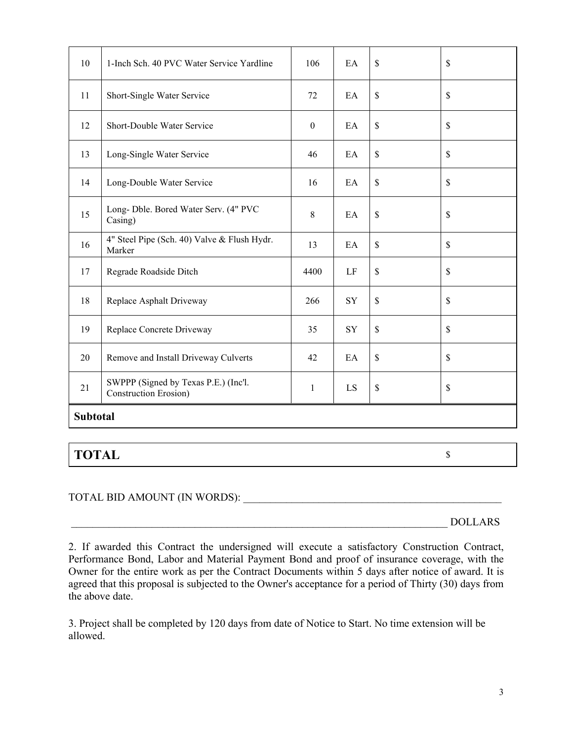| 10              | 1-Inch Sch. 40 PVC Water Service Yardline                     | 106              | EA | \$           | \$           |
|-----------------|---------------------------------------------------------------|------------------|----|--------------|--------------|
| 11              | Short-Single Water Service                                    | 72               | EA | \$           | \$           |
| 12              | Short-Double Water Service                                    | $\boldsymbol{0}$ | EA | $\mathbb{S}$ | \$           |
| 13              | Long-Single Water Service                                     | 46               | EA | $\mathbb{S}$ | \$           |
| 14              | Long-Double Water Service                                     | 16               | EA | $\mathbb{S}$ | \$           |
| 15              | Long- Dble. Bored Water Serv. (4" PVC<br>Casing)              | 8                | EA | \$           | \$           |
| 16              | 4" Steel Pipe (Sch. 40) Valve & Flush Hydr.<br>Marker         | 13               | EA | $\mathbb{S}$ | $\mathbb{S}$ |
| 17              | Regrade Roadside Ditch                                        | 4400             | LF | $\mathbb{S}$ | \$           |
| 18              | Replace Asphalt Driveway                                      | 266              | SY | $\mathbb{S}$ | \$           |
| 19              | Replace Concrete Driveway                                     | 35               | SY | $\mathbb{S}$ | \$           |
| 20              | Remove and Install Driveway Culverts                          | 42               | EA | \$           | \$           |
| 21              | SWPPP (Signed by Texas P.E.) (Inc'l.<br>Construction Erosion) | $\mathbf{1}$     | LS | \$           | \$           |
| <b>Subtotal</b> |                                                               |                  |    |              |              |

# **TOTAL** \$

# TOTAL BID AMOUNT (IN WORDS):

\_\_\_\_\_\_\_\_\_\_\_\_\_\_\_\_\_\_\_\_\_\_\_\_\_\_\_\_\_\_\_\_\_\_\_\_\_\_\_\_\_\_\_\_\_\_\_\_\_\_\_\_\_\_\_\_\_\_\_\_\_\_\_\_\_\_\_\_\_\_ DOLLARS

3. Project shall be completed by 120 days from date of Notice to Start. No time extension will be allowed.

<sup>2.</sup> If awarded this Contract the undersigned will execute a satisfactory Construction Contract, Performance Bond, Labor and Material Payment Bond and proof of insurance coverage, with the Owner for the entire work as per the Contract Documents within 5 days after notice of award. It is agreed that this proposal is subjected to the Owner's acceptance for a period of Thirty (30) days from the above date.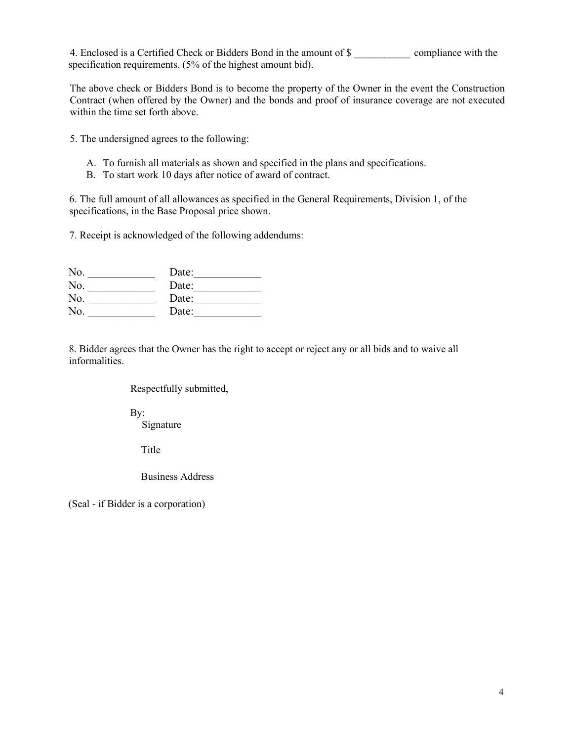4. Enclosed is a Certified Check or Bidders Bond in the amount of \$ compliance with the specification requirements. (5% of the highest amount bid).

The above check or Bidders Bond is to become the property of the Owner in the event the Construction Contract (when offered by the Owner) and the bonds and proof of insurance coverage are not executed within the time set forth above.

5. The undersigned agrees to the following:

- A. To furnish all materials as shown and specified in the plans and specifications.
- B. To start work 10 days after notice of award of contract.

6. The full amount of all allowances as specified in the General Requirements, Division 1, of the specifications, in the Base Proposal price shown.

7. Receipt is acknowledged of the following addendums:

| No. | Date: |
|-----|-------|
| No. | Date: |
| No. | Date: |
| No. | Date: |

8. Bidder agrees that the Owner has the right to accept or reject any or all bids and to waive all informalities.

### Respectfully submitted,

By: Signature

Title

Business Address

(Seal - if Bidder is a corporation)